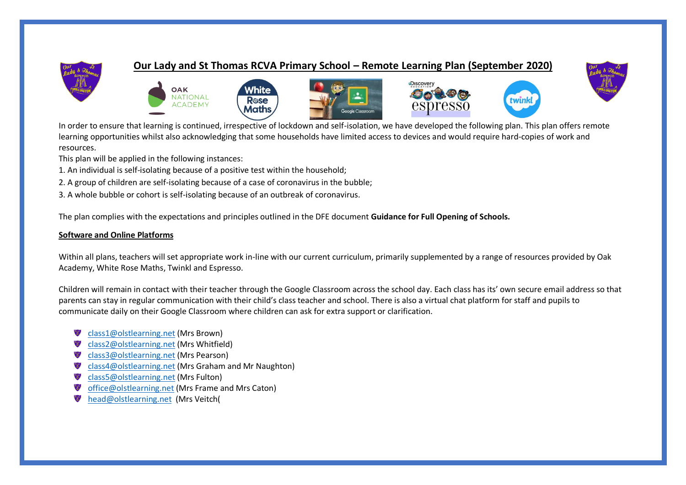

## **Our Lady and St Thomas RCVA Primary School – Remote Learning Plan (September 2020)**

Discover





This plan will be applied in the following instances:

1. An individual is self-isolating because of a positive test within the household;

OAK **NATIONAL** 

**ACADEMY** 

2. A group of children are self-isolating because of a case of coronavirus in the bubble;

3. A whole bubble or cohort is self-isolating because of an outbreak of coronavirus.

The plan complies with the expectations and principles outlined in the DFE document **Guidance for Full Opening of Schools.**

White

Rose

Maths

### **Software and Online Platforms**

Within all plans, teachers will set appropriate work in-line with our current curriculum, primarily supplemented by a range of resources provided by Oak Academy, White Rose Maths, Twinkl and Espresso.

Children will remain in contact with their teacher through the Google Classroom across the school day. Each class has its' own secure email address so that parents can stay in regular communication with their child's class teacher and school. There is also a virtual chat platform for staff and pupils to communicate daily on their Google Classroom where children can ask for extra support or clarification.

- [class1@olstlearning.net](mailto:class1@olstlearning.net) (Mrs Brown)
- [class2@olstlearning.net](mailto:class2@olstlearning.net) (Mrs Whitfield)
- Class3@olstlearning.net (Mrs Pearson)
- [class4@olstlearning.net](mailto:class4@olstlearning.net) (Mrs Graham and Mr Naughton)
- [class5@olstlearning.net](mailto:class5@olstlearning.net) (Mrs Fulton)
- [office@olstlearning.net](mailto:office@olstlearning.net) (Mrs Frame and Mrs Caton)
- [head@olstlearning.net](mailto:head@olstlearning.net) (Mrs Veitch(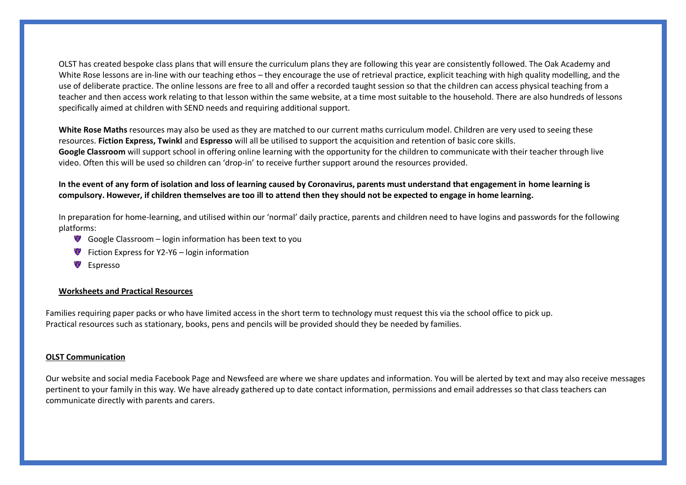OLST has created bespoke class plans that will ensure the curriculum plans they are following this year are consistently followed. The Oak Academy and White Rose lessons are in-line with our teaching ethos – they encourage the use of retrieval practice, explicit teaching with high quality modelling, and the use of deliberate practice. The online lessons are free to all and offer a recorded taught session so that the children can access physical teaching from a teacher and then access work relating to that lesson within the same website, at a time most suitable to the household. There are also hundreds of lessons specifically aimed at children with SEND needs and requiring additional support.

**White Rose Maths** resources may also be used as they are matched to our current maths curriculum model. Children are very used to seeing these resources. **Fiction Express, Twinkl** and **Espresso** will all be utilised to support the acquisition and retention of basic core skills. **Google Classroom** will support school in offering online learning with the opportunity for the children to communicate with their teacher through live video. Often this will be used so children can 'drop-in' to receive further support around the resources provided.

### **In the event of any form of isolation and loss of learning caused by Coronavirus, parents must understand that engagement in home learning is compulsory. However, if children themselves are too ill to attend then they should not be expected to engage in home learning.**

In preparation for home-learning, and utilised within our 'normal' daily practice, parents and children need to have logins and passwords for the following platforms:

- Google Classroom login information has been text to you
- Fiction Express for  $Y2-Y6$  login information
- **Espresso**

#### **Worksheets and Practical Resources**

Families requiring paper packs or who have limited access in the short term to technology must request this via the school office to pick up. Practical resources such as stationary, books, pens and pencils will be provided should they be needed by families.

#### **OLST Communication**

Our website and social media Facebook Page and Newsfeed are where we share updates and information. You will be alerted by text and may also receive messages pertinent to your family in this way. We have already gathered up to date contact information, permissions and email addresses so that class teachers can communicate directly with parents and carers.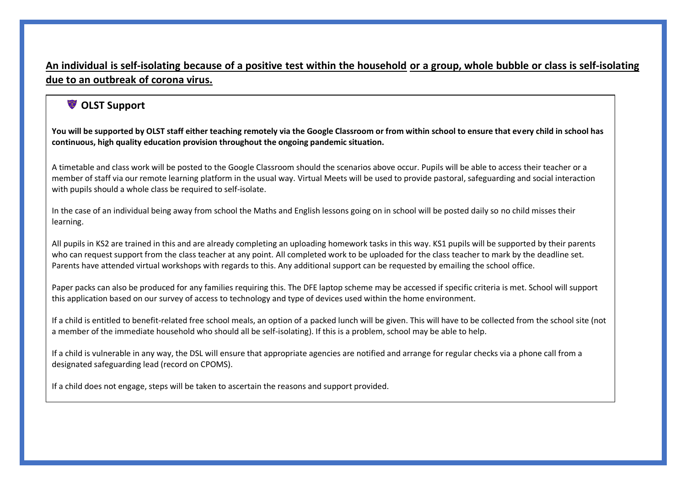## **An individual is self-isolating because of a positive test within the household or a group, whole bubble or class is self-isolating due to an outbreak of corona virus.**

# **OLST Support**

**You will be supported by OLST staff either teaching remotely via the Google Classroom or from within school to ensure that every child in school has continuous, high quality education provision throughout the ongoing pandemic situation.** 

A timetable and class work will be posted to the Google Classroom should the scenarios above occur. Pupils will be able to access their teacher or a member of staff via our remote learning platform in the usual way. Virtual Meets will be used to provide pastoral, safeguarding and social interaction with pupils should a whole class be required to self-isolate.

In the case of an individual being away from school the Maths and English lessons going on in school will be posted daily so no child misses their learning.

All pupils in KS2 are trained in this and are already completing an uploading homework tasks in this way. KS1 pupils will be supported by their parents who can request support from the class teacher at any point. All completed work to be uploaded for the class teacher to mark by the deadline set. Parents have attended virtual workshops with regards to this. Any additional support can be requested by emailing the school office.

Paper packs can also be produced for any families requiring this. The DFE laptop scheme may be accessed if specific criteria is met. School will support this application based on our survey of access to technology and type of devices used within the home environment.

If a child is entitled to benefit-related free school meals, an option of a packed lunch will be given. This will have to be collected from the school site (not a member of the immediate household who should all be self-isolating). If this is a problem, school may be able to help.

If a child is vulnerable in any way, the DSL will ensure that appropriate agencies are notified and arrange for regular checks via a phone call from a designated safeguarding lead (record on CPOMS).

If a child does not engage, steps will be taken to ascertain the reasons and support provided.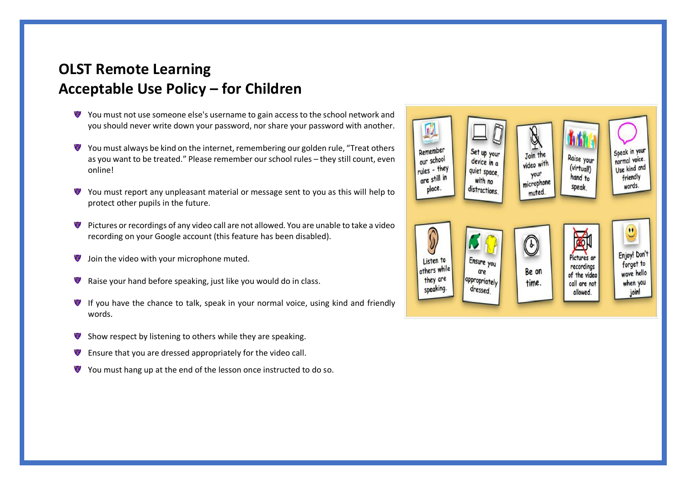# **OLST Remote Learning Acceptable Use Policy – for Children**

- You must not use someone else's username to gain access to the school network and E. you should never write down your password, nor share your password with another.
- You must always be kind on the internet, remembering our golden rule, "Treat others as you want to be treated." Please remember our school rules – they still count, even online!
- You must report any unpleasant material or message sent to you as this will help to protect other pupils in the future.
- Pictures or recordings of any video call are not allowed. You are unable to take a video recording on your Google account (this feature has been disabled).
- Join the video with your microphone muted.
- Raise your hand before speaking, just like you would do in class.
- **If you have the chance to talk, speak in your normal voice, using kind and friendly** words.
- Show respect by listening to others while they are speaking.
- Ensure that you are dressed appropriately for the video call.
- You must hang up at the end of the lesson once instructed to do so.

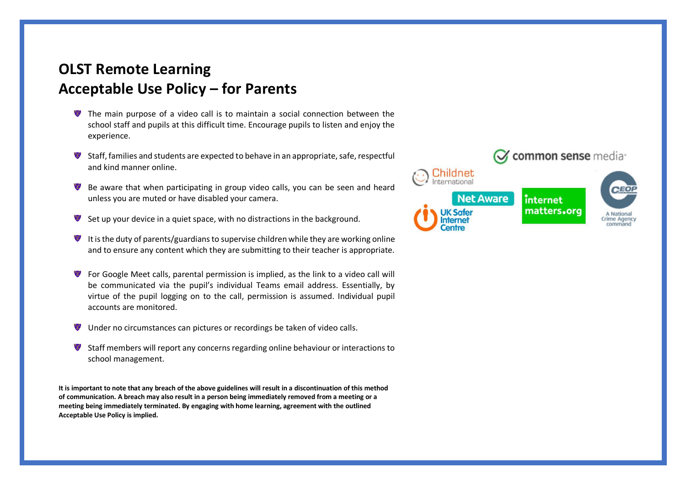# **OLST Remote Learning Acceptable Use Policy – for Parents**

- The main purpose of a video call is to maintain a social connection between the school staff and pupils at this difficult time. Encourage pupils to listen and enjoy the experience.
- Staff, families and students are expected to behave in an appropriate, safe, respectful and kind manner online.
- Be aware that when participating in group video calls, you can be seen and heard unless you are muted or have disabled your camera.
- Set up your device in a quiet space, with no distractions in the background.
- It is the duty of parents/guardians to supervise children while they are working online and to ensure any content which they are submitting to their teacher is appropriate.
- For Google Meet calls, parental permission is implied, as the link to a video call will be communicated via the pupil's individual Teams email address. Essentially, by virtue of the pupil logging on to the call, permission is assumed. Individual pupil accounts are monitored.
- Under no circumstances can pictures or recordings be taken of video calls.
- Staff members will report any concerns regarding online behaviour or interactions to school management.

**It is important to note that any breach of the above guidelines will result in a discontinuation of this method of communication. A breach may also result in a person being immediately removed from a meeting or a meeting being immediately terminated. By engaging with home learning, agreement with the outlined Acceptable Use Policy is implied.**